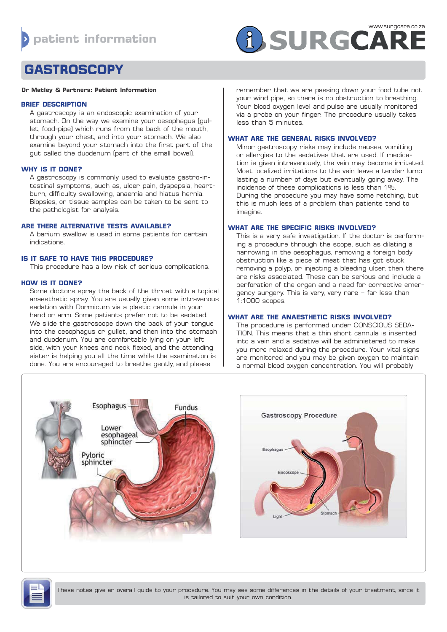# **A SURGCARE**

# **GASTROSCOPY**

#### **Dr Matley & Partners: Patient Information**

#### **BRIEF DESCRIPTION**

A gastroscopy is an endoscopic examination of your stomach. On the way we examine your oesophagus (gullet, food-pipe) which runs from the back of the mouth, through your chest, and into your stomach. We also examine beyond your stomach into the first part of the gut called the duodenum (part of the small bowel).

# **WHY IS IT DONE?**

A gastroscopy is commonly used to evaluate gastro-intestinal symptoms, such as, ulcer pain, dyspepsia, heartburn, difficulty swallowing, anaemia and hiatus hernia. Biopsies, or tissue samples can be taken to be sent to the pathologist for analysis.

# **ARE THERE ALTERNATIVE TESTS AVAILABLE?**

A barium swallow is used in some patients for certain indications.

# **IS IT SAFE TO HAVE THIS PROCEDURE?**

This procedure has a low risk of serious complications.

# **HOW IS IT DONE?**

Some doctors spray the back of the throat with a topical anaesthetic spray. You are usually given some intravenous sedation with Dormicum via a plastic cannula in your hand or arm. Some patients prefer not to be sedated. We slide the gastroscope down the back of your tongue into the oesophagus or gullet, and then into the stomach and duodenum. You are comfortable lying on your left side, with your knees and neck flexed, and the attending sister is helping you all the time while the examination is done. You are encouraged to breathe gently, and please

remember that we are passing down your food tube not your wind pipe, so there is no obstruction to breathing. Your blood oxygen level and pulse are usually monitored via a probe on your finger. The procedure usually takes less than 5 minutes.

# **WHAT ARE THE GENERAL RISKS INVOLVED?**

Minor gastroscopy risks may include nausea, vomiting or allergies to the sedatives that are used. If medication is given intravenously, the vein may become irritated. Most localized irritations to the vein leave a tender lump lasting a number of days but eventually going away. The incidence of these complications is less than 1%. During the procedure you may have some retching, but this is much less of a problem than patients tend to imagine.

# **WHAT ARE THE SPECIFIC RISKS INVOLVED?**

This is a very safe investigation. If the doctor is performing a procedure through the scope, such as dilating a narrowing in the oesophagus, removing a foreign body obstruction like a piece of meat that has got stuck, removing a polyp, or injecting a bleeding ulcer, then there are risks associated. These can be serious and include a perforation of the organ and a need for corrective emergency surgery. This is very, very rare – far less than 1:1000 scopes.

# **WHAT ARE THE ANAESTHETIC RISKS INVOLVED?**

The procedure is performed under CONSCIOUS SEDA-TION. This means that a thin short cannula is inserted into a vein and a sedative will be administered to make you more relaxed during the procedure. Your vital signs are monitored and you may be given oxygen to maintain a normal blood oxygen concentration. You will probably





These notes give an overall guide to your procedure. You may see some differences in the details of your treatment, since it is tailored to suit your own condition.